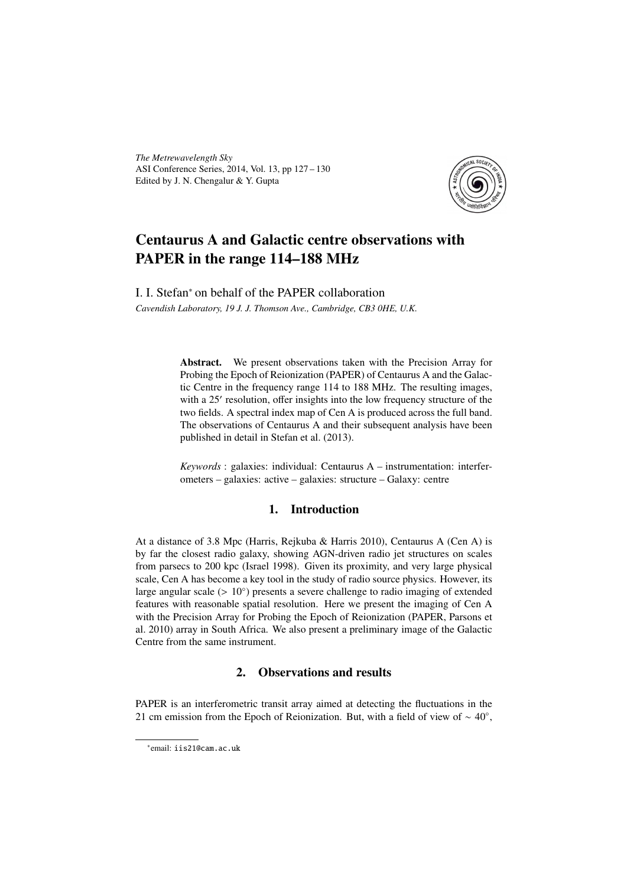*The Metrewavelength Sky* ASI Conference Series, 2014, Vol. 13, pp 127 – 130 Edited by J. N. Chengalur & Y. Gupta



# Centaurus A and Galactic centre observations with PAPER in the range 114–188 MHz

I. I. Stefan<sup>∗</sup> on behalf of the PAPER collaboration *Cavendish Laboratory, 19 J. J. Thomson Ave., Cambridge, CB3 0HE, U.K.*

> Abstract. We present observations taken with the Precision Array for Probing the Epoch of Reionization (PAPER) of Centaurus A and the Galactic Centre in the frequency range 114 to 188 MHz. The resulting images, with a 25' resolution, offer insights into the low frequency structure of the two fields. A spectral index map of Cen A is produced across the full band. The observations of Centaurus A and their subsequent analysis have been published in detail in Stefan et al. (2013).

> *Keywords* : galaxies: individual: Centaurus A – instrumentation: interferometers – galaxies: active – galaxies: structure – Galaxy: centre

### 1. Introduction

At a distance of 3.8 Mpc (Harris, Rejkuba & Harris 2010), Centaurus A (Cen A) is by far the closest radio galaxy, showing AGN-driven radio jet structures on scales from parsecs to 200 kpc (Israel 1998). Given its proximity, and very large physical scale, Cen A has become a key tool in the study of radio source physics. However, its large angular scale  $(> 10°)$  presents a severe challenge to radio imaging of extended features with reasonable spatial resolution. Here we present the imaging of Cen A features with reasonable spatial resolution. Here we present the imaging of Cen A with the Precision Array for Probing the Epoch of Reionization (PAPER, Parsons et al. 2010) array in South Africa. We also present a preliminary image of the Galactic Centre from the same instrument.

## 2. Observations and results

PAPER is an interferometric transit array aimed at detecting the fluctuations in the 21 cm emission from the Epoch of Reionization. But, with a field of view of  $\sim 40^{\circ}$ ,

<sup>∗</sup> email: iis21@cam.ac.uk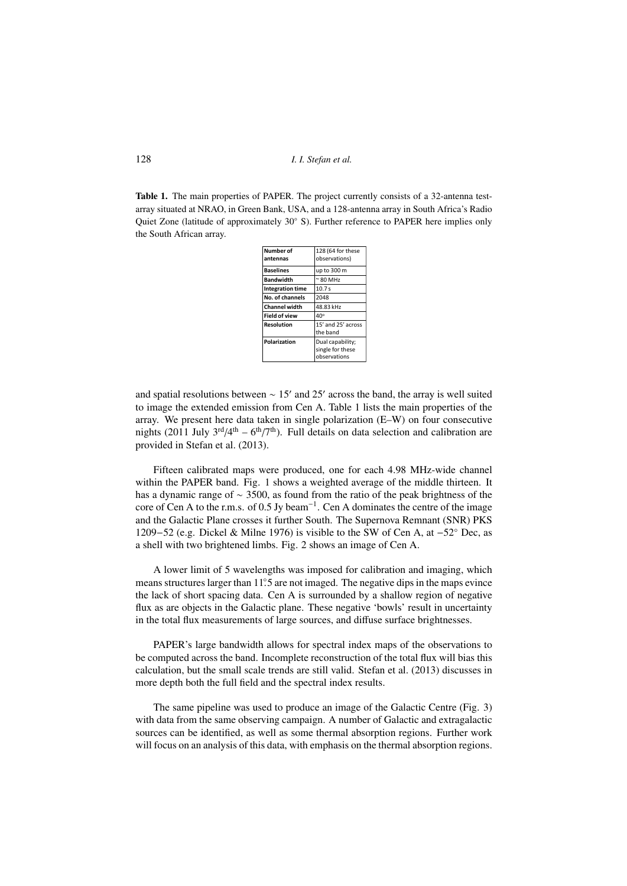128 *I. I. Stefan et al.*

Table 1. The main properties of PAPER. The project currently consists of a 32-antenna testarray situated at NRAO, in Green Bank, USA, and a 128-antenna array in South Africa's Radio Quiet Zone (latitude of approximately 30◦ S). Further reference to PAPER here implies only the South African array.

| Number of               | 128 (64 for these                                    |
|-------------------------|------------------------------------------------------|
| antennas                | observations)                                        |
| <b>Baselines</b>        | up to 300 m                                          |
| <b>Bandwidth</b>        | $\approx$ 80 MHz                                     |
| <b>Integration time</b> | 10.7s                                                |
| No. of channels         | 2048                                                 |
| <b>Channel width</b>    | 48.83 kHz                                            |
| <b>Field of view</b>    | $40^\circ$                                           |
| Resolution              | 15' and 25' across<br>the band                       |
| Polarization            | Dual capability;<br>single for these<br>observations |

and spatial resolutions between  $\sim 15'$  and 25' across the band, the array is well suited to image the extended emission from Cen A. Table 1 lists the main properties of the array. We present here data taken in single polarization (E–W) on four consecutive nights (2011 July  $3<sup>rd</sup>/4<sup>th</sup> - 6<sup>th</sup>/7<sup>th</sup>$ ). Full details on data selection and calibration are provided in Stefan et al. (2013).

Fifteen calibrated maps were produced, one for each 4.98 MHz-wide channel within the PAPER band. Fig. 1 shows a weighted average of the middle thirteen. It has a dynamic range of ∼ 3500, as found from the ratio of the peak brightness of the core of Cen A to the r.m.s. of 0.5 Jy beam<sup>-1</sup>. Cen A dominates the centre of the image<br>and the Galactic Plane crosses it further South. The Supernova Remnant (SNR) PKS and the Galactic Plane crosses it further South. The Supernova Remnant (SNR) PKS 1209−52 (e.g. Dickel & Milne 1976) is visible to the SW of Cen A, at −52◦ Dec, as a shell with two brightened limbs. Fig. 2 shows an image of Cen A.

A lower limit of 5 wavelengths was imposed for calibration and imaging, which means structures larger than 11.5 are not imaged. The negative dips in the maps evince<br>the lack of short spacing data. Cen A is surrounded by a shallow region of negative the lack of short spacing data. Cen A is surrounded by a shallow region of negative flux as are objects in the Galactic plane. These negative 'bowls' result in uncertainty in the total flux measurements of large sources, and diffuse surface brightnesses.

PAPER's large bandwidth allows for spectral index maps of the observations to be computed across the band. Incomplete reconstruction of the total flux will bias this calculation, but the small scale trends are still valid. Stefan et al. (2013) discusses in more depth both the full field and the spectral index results.

The same pipeline was used to produce an image of the Galactic Centre (Fig. 3) with data from the same observing campaign. A number of Galactic and extragalactic sources can be identified, as well as some thermal absorption regions. Further work will focus on an analysis of this data, with emphasis on the thermal absorption regions.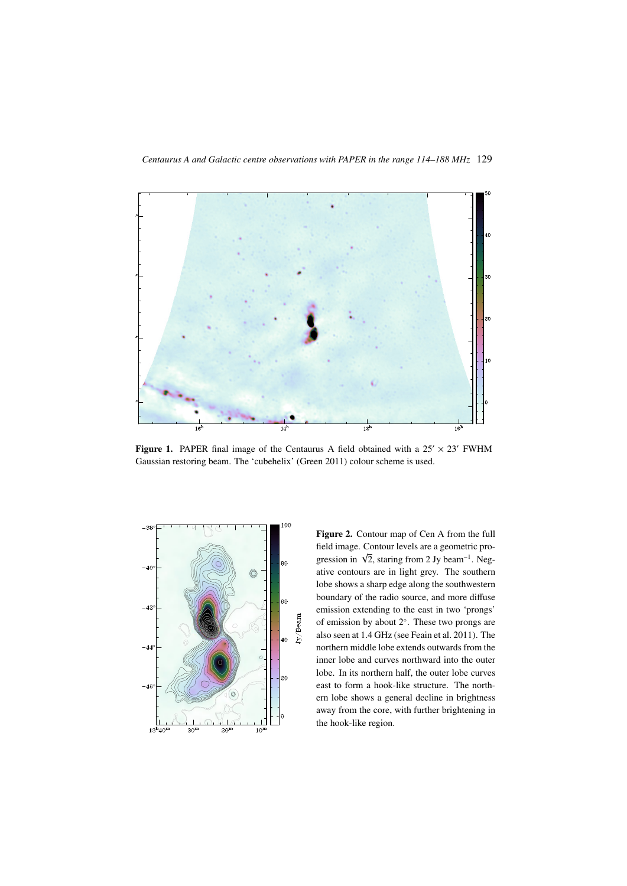

Figure 1. PAPER final image of the Centaurus A field obtained with a  $25' \times 23'$  FWHM Gaussian restoring beam. The 'cubehelix' (Green 2011) colour scheme is used.



Figure 2. Contour map of Cen A from the full field image. Contour levels are a geometric prometa mage. Comour levers are a geometric progression in  $\sqrt{2}$ , staring from 2 Jy beam<sup>-1</sup>. Negative contours are in light grey. The southern lobe shows a sharp edge along the southwestern boundary of the radio source, and more diffuse emission extending to the east in two 'prongs' of emission by about 2◦ . These two prongs are also seen at 1.4 GHz (see Feain et al. 2011). The northern middle lobe extends outwards from the inner lobe and curves northward into the outer lobe. In its northern half, the outer lobe curves east to form a hook-like structure. The northern lobe shows a general decline in brightness away from the core, with further brightening in the hook-like region.